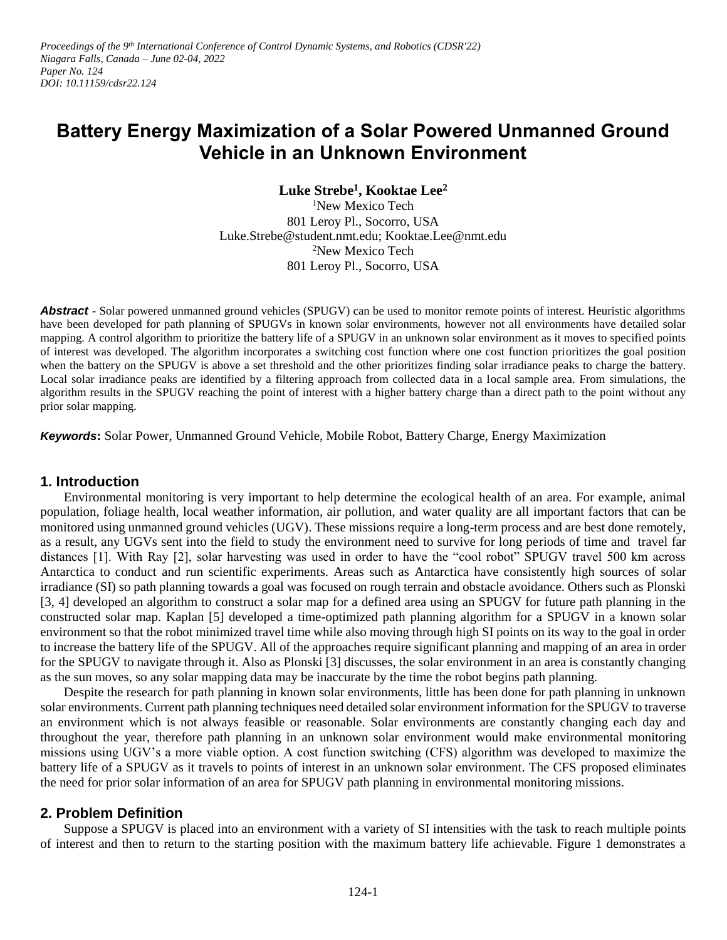*Proceedings of the 9 th International Conference of Control Dynamic Systems, and Robotics (CDSR'22) Niagara Falls, Canada – June 02-04, 2022 Paper No. 124 DOI: 10.11159/cdsr22.124*

# **Battery Energy Maximization of a Solar Powered Unmanned Ground Vehicle in an Unknown Environment**

**Luke Strebe<sup>1</sup> , Kooktae Lee<sup>2</sup>** <sup>1</sup>New Mexico Tech 801 Leroy Pl., Socorro, USA Luke.Strebe@student.nmt.edu; Kooktae.Lee@nmt.edu <sup>2</sup>New Mexico Tech 801 Leroy Pl., Socorro, USA

**Abstract -** Solar powered unmanned ground vehicles (SPUGV) can be used to monitor remote points of interest. Heuristic algorithms have been developed for path planning of SPUGVs in known solar environments, however not all environments have detailed solar mapping. A control algorithm to prioritize the battery life of a SPUGV in an unknown solar environment as it moves to specified points of interest was developed. The algorithm incorporates a switching cost function where one cost function prioritizes the goal position when the battery on the SPUGV is above a set threshold and the other prioritizes finding solar irradiance peaks to charge the battery. Local solar irradiance peaks are identified by a filtering approach from collected data in a local sample area. From simulations, the algorithm results in the SPUGV reaching the point of interest with a higher battery charge than a direct path to the point without any prior solar mapping.

*Keywords***:** Solar Power, Unmanned Ground Vehicle, Mobile Robot, Battery Charge, Energy Maximization

#### **1. Introduction**

Environmental monitoring is very important to help determine the ecological health of an area. For example, animal population, foliage health, local weather information, air pollution, and water quality are all important factors that can be monitored using unmanned ground vehicles (UGV). These missions require a long-term process and are best done remotely, as a result, any UGVs sent into the field to study the environment need to survive for long periods of time and travel far distances [1]. With Ray [2], solar harvesting was used in order to have the "cool robot" SPUGV travel 500 km across Antarctica to conduct and run scientific experiments. Areas such as Antarctica have consistently high sources of solar irradiance (SI) so path planning towards a goal was focused on rough terrain and obstacle avoidance. Others such as Plonski [3, 4] developed an algorithm to construct a solar map for a defined area using an SPUGV for future path planning in the constructed solar map. Kaplan [5] developed a time-optimized path planning algorithm for a SPUGV in a known solar environment so that the robot minimized travel time while also moving through high SI points on its way to the goal in order to increase the battery life of the SPUGV. All of the approaches require significant planning and mapping of an area in order for the SPUGV to navigate through it. Also as Plonski [3] discusses, the solar environment in an area is constantly changing as the sun moves, so any solar mapping data may be inaccurate by the time the robot begins path planning.

Despite the research for path planning in known solar environments, little has been done for path planning in unknown solar environments. Current path planning techniques need detailed solar environment information for the SPUGV to traverse an environment which is not always feasible or reasonable. Solar environments are constantly changing each day and throughout the year, therefore path planning in an unknown solar environment would make environmental monitoring missions using UGV's a more viable option. A cost function switching (CFS) algorithm was developed to maximize the battery life of a SPUGV as it travels to points of interest in an unknown solar environment. The CFS proposed eliminates the need for prior solar information of an area for SPUGV path planning in environmental monitoring missions.

## **2. Problem Definition**

Suppose a SPUGV is placed into an environment with a variety of SI intensities with the task to reach multiple points of interest and then to return to the starting position with the maximum battery life achievable. Figure 1 demonstrates a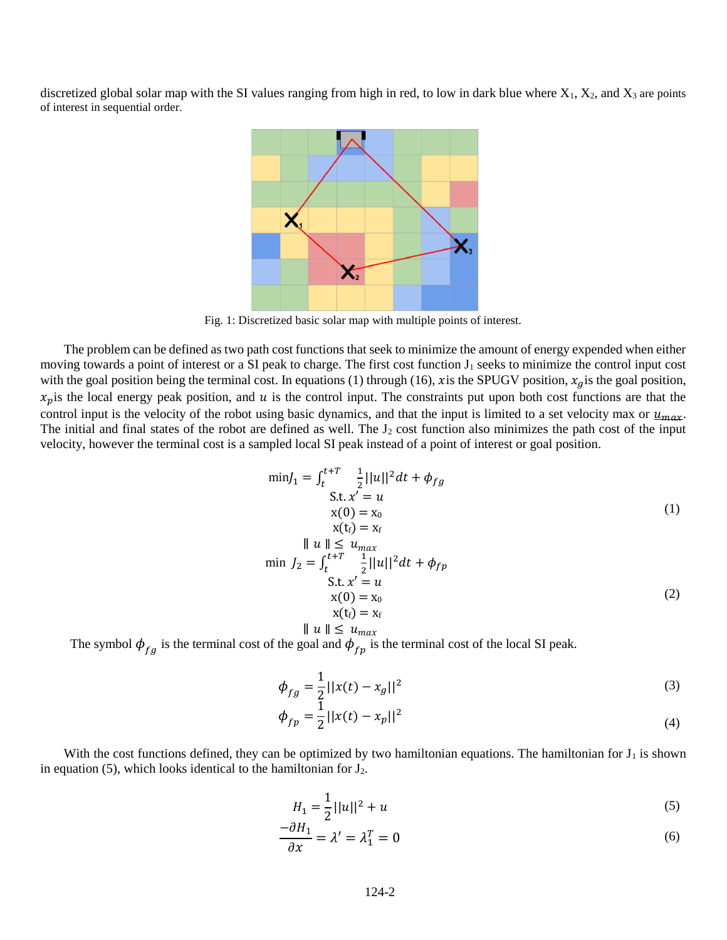discretized global solar map with the SI values ranging from high in red, to low in dark blue where  $X_1$ ,  $X_2$ , and  $X_3$  are points of interest in sequential order.



Fig. 1: Discretized basic solar map with multiple points of interest.

The problem can be defined as two path cost functions that seek to minimize the amount of energy expended when either moving towards a point of interest or a SI peak to charge. The first cost function  $J_1$  seeks to minimize the control input cost with the goal position being the terminal cost. In equations (1) through (16), x is the SPUGV position,  $x_g$  is the goal position,  $x_p$  is the local energy peak position, and u is the control input. The constraints put upon both cost functions are that the control input is the velocity of the robot using basic dynamics, and that the input is limited to a set velocity max or  $u_{max}$ . The initial and final states of the robot are defined as well. The  $J_2$  cost function also minimizes the path cost of the input velocity, however the terminal cost is a sampled local SI peak instead of a point of interest or goal position.

$$
\min J_1 = \int_t^{t+T} \frac{1}{2} ||u||^2 dt + \phi_{fg}
$$
  
 S.t.  $x' = u$   
  $x(0) = x_0$   
  $x(t_f) = x_f$  (1)  

$$
\begin{aligned}\n\min \, J_2 &= \int_t^{t+T} \frac{1}{2} ||u||^2 dt + \phi_{fp} \\
\text{S.t. } x' &= u \\
& \quad \mathbf{x}(0) &= \mathbf{x}_0 \\
& \quad \mathbf{x}(\mathbf{t}_f) = \mathbf{x}_f\n\end{aligned}\n\tag{2}
$$

$$
\parallel u \parallel \,\leq\, u_{max}
$$

The symbol  $\phi_{fg}$  is the terminal cost of the goal and  $\phi_{fp}$  is the terminal cost of the local SI peak.

$$
\phi_{fg} = \frac{1}{2}||x(t) - x_g||^2
$$
\n(3)

$$
\phi_{fp} = \frac{1}{2} ||x(t) - x_p||^2 \tag{4}
$$

With the cost functions defined, they can be optimized by two hamiltonian equations. The hamiltonian for  $J_1$  is shown in equation (5), which looks identical to the hamiltonian for  $J_2$ .

$$
H_1 = \frac{1}{2}||u||^2 + u \tag{5}
$$

$$
\frac{-\partial H_1}{\partial x} = \lambda' = \lambda_1^T = 0 \tag{6}
$$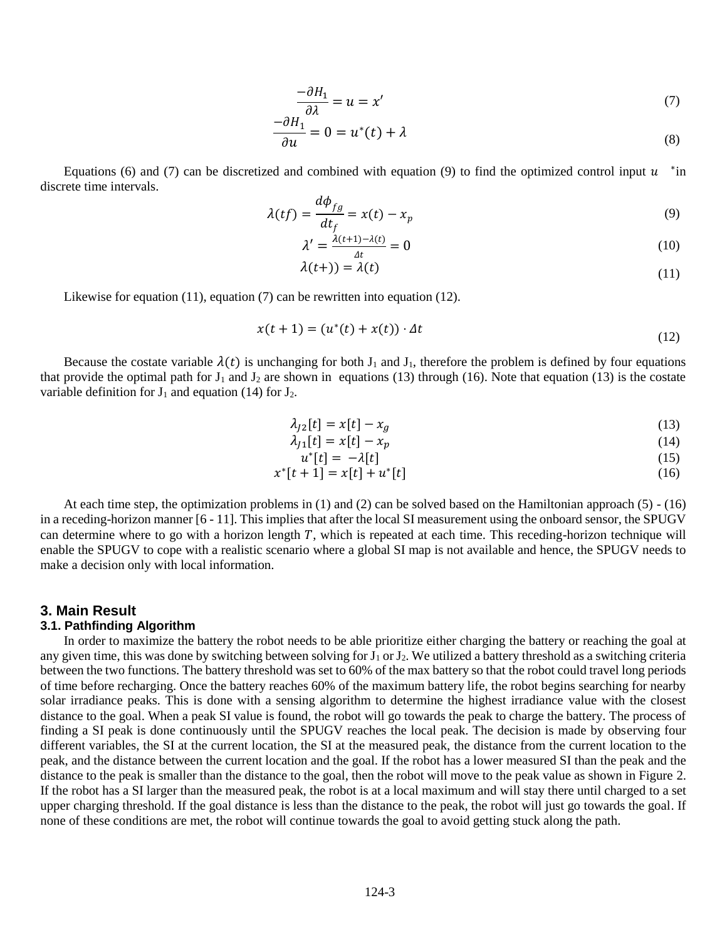$$
\frac{-\partial H_1}{\partial \lambda} = u = x' \tag{7}
$$

$$
\frac{-\partial H_1}{\partial u} = 0 = u^*(t) + \lambda \tag{8}
$$

Equations (6) and (7) can be discretized and combined with equation (9) to find the optimized control input  $u$  \*in discrete time intervals.  $\overline{1}$ 

$$
\lambda(tf) = \frac{d\phi_{fg}}{dt_f} = x(t) - x_p \tag{9}
$$

$$
\lambda' = \frac{\lambda(t+1) - \lambda(t)}{\Delta t} = 0
$$
\n(10)

$$
\lambda(t+)) = \lambda(t) \tag{11}
$$

Likewise for equation (11), equation (7) can be rewritten into equation (12).

$$
x(t+1) = (u^*(t) + x(t)) \cdot \Delta t \tag{12}
$$

Because the costate variable  $\lambda(t)$  is unchanging for both  $J_1$  and  $J_1$ , therefore the problem is defined by four equations that provide the optimal path for  $J_1$  and  $J_2$  are shown in equations (13) through (16). Note that equation (13) is the costate variable definition for  $J_1$  and equation (14) for  $J_2$ .

$$
\lambda_{J2}[t] = x[t] - x_g \tag{13}
$$

$$
\lambda_{J1}[t] = x[t] - x_p \tag{14}
$$

$$
u^*[t] = -\lambda[t] \tag{15}
$$

$$
x^*[t+1] = x[t] + u^*[t] \tag{16}
$$

At each time step, the optimization problems in (1) and (2) can be solved based on the Hamiltonian approach (5) - (16) in a receding-horizon manner [6 - 11]. This implies that after the local SI measurement using the onboard sensor, the SPUGV can determine where to go with a horizon length  $T$ , which is repeated at each time. This receding-horizon technique will enable the SPUGV to cope with a realistic scenario where a global SI map is not available and hence, the SPUGV needs to make a decision only with local information.

#### **3. Main Result**

#### **3.1. Pathfinding Algorithm**

In order to maximize the battery the robot needs to be able prioritize either charging the battery or reaching the goal at any given time, this was done by switching between solving for  $J_1$  or  $J_2$ . We utilized a battery threshold as a switching criteria between the two functions. The battery threshold was set to 60% of the max battery so that the robot could travel long periods of time before recharging. Once the battery reaches 60% of the maximum battery life, the robot begins searching for nearby solar irradiance peaks. This is done with a sensing algorithm to determine the highest irradiance value with the closest distance to the goal. When a peak SI value is found, the robot will go towards the peak to charge the battery. The process of finding a SI peak is done continuously until the SPUGV reaches the local peak. The decision is made by observing four different variables, the SI at the current location, the SI at the measured peak, the distance from the current location to the peak, and the distance between the current location and the goal. If the robot has a lower measured SI than the peak and the distance to the peak is smaller than the distance to the goal, then the robot will move to the peak value as shown in Figure 2. If the robot has a SI larger than the measured peak, the robot is at a local maximum and will stay there until charged to a set upper charging threshold. If the goal distance is less than the distance to the peak, the robot will just go towards the goal. If none of these conditions are met, the robot will continue towards the goal to avoid getting stuck along the path.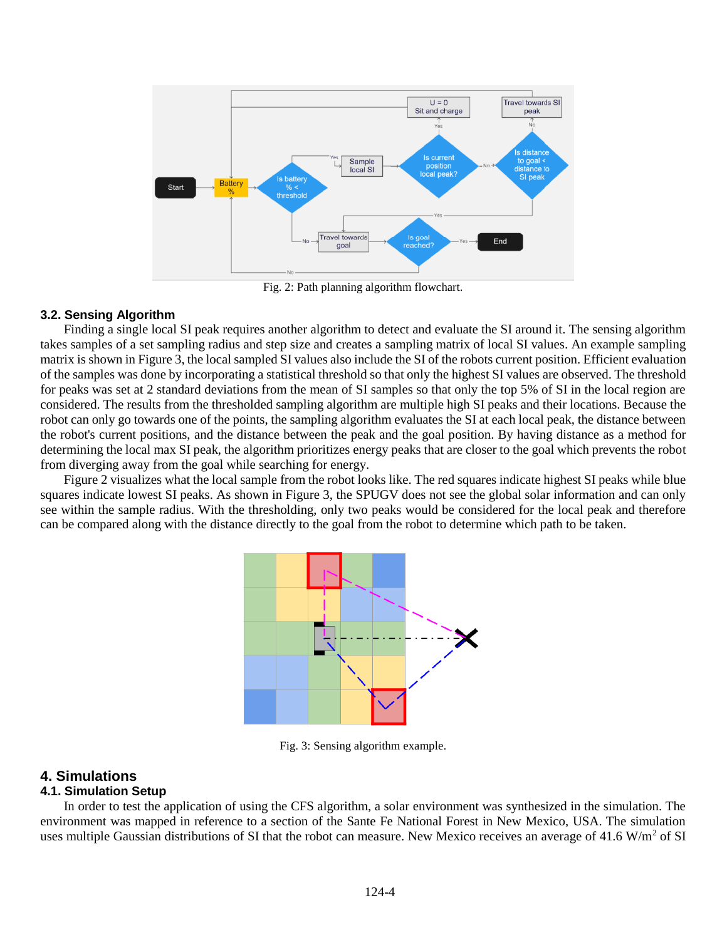

Fig. 2: Path planning algorithm flowchart.

#### **3.2. Sensing Algorithm**

Finding a single local SI peak requires another algorithm to detect and evaluate the SI around it. The sensing algorithm takes samples of a set sampling radius and step size and creates a sampling matrix of local SI values. An example sampling matrix is shown in Figure 3, the local sampled SI values also include the SI of the robots current position. Efficient evaluation of the samples was done by incorporating a statistical threshold so that only the highest SI values are observed. The threshold for peaks was set at 2 standard deviations from the mean of SI samples so that only the top 5% of SI in the local region are considered. The results from the thresholded sampling algorithm are multiple high SI peaks and their locations. Because the robot can only go towards one of the points, the sampling algorithm evaluates the SI at each local peak, the distance between the robot's current positions, and the distance between the peak and the goal position. By having distance as a method for determining the local max SI peak, the algorithm prioritizes energy peaks that are closer to the goal which prevents the robot from diverging away from the goal while searching for energy.

Figure 2 visualizes what the local sample from the robot looks like. The red squares indicate highest SI peaks while blue squares indicate lowest SI peaks. As shown in Figure 3, the SPUGV does not see the global solar information and can only see within the sample radius. With the thresholding, only two peaks would be considered for the local peak and therefore can be compared along with the distance directly to the goal from the robot to determine which path to be taken.



Fig. 3: Sensing algorithm example.

## **4. Simulations**

## **4.1. Simulation Setup**

In order to test the application of using the CFS algorithm, a solar environment was synthesized in the simulation. The environment was mapped in reference to a section of the Sante Fe National Forest in New Mexico, USA. The simulation uses multiple Gaussian distributions of SI that the robot can measure. New Mexico receives an average of 41.6  $W/m<sup>2</sup>$  of SI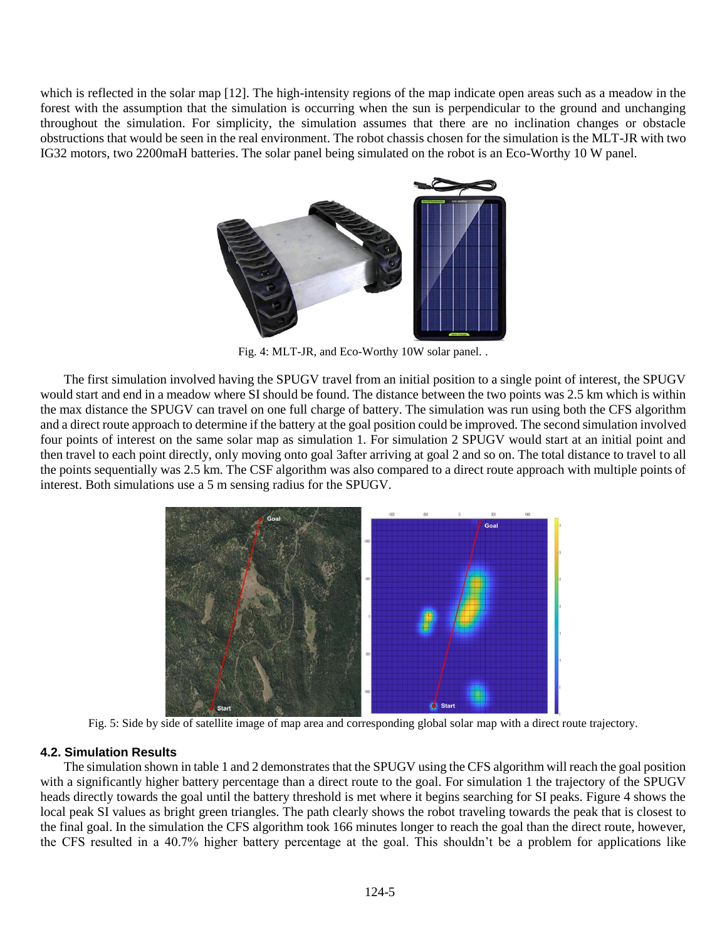which is reflected in the solar map [12]. The high-intensity regions of the map indicate open areas such as a meadow in the forest with the assumption that the simulation is occurring when the sun is perpendicular to the ground and unchanging throughout the simulation. For simplicity, the simulation assumes that there are no inclination changes or obstacle obstructions that would be seen in the real environment. The robot chassis chosen for the simulation is the MLT-JR with two IG32 motors, two 2200maH batteries. The solar panel being simulated on the robot is an Eco-Worthy 10 W panel.



Fig. 4: MLT-JR, and Eco-Worthy 10W solar panel. .

The first simulation involved having the SPUGV travel from an initial position to a single point of interest, the SPUGV would start and end in a meadow where SI should be found. The distance between the two points was 2.5 km which is within the max distance the SPUGV can travel on one full charge of battery. The simulation was run using both the CFS algorithm and a direct route approach to determine if the battery at the goal position could be improved. The second simulation involved four points of interest on the same solar map as simulation 1. For simulation 2 SPUGV would start at an initial point and then travel to each point directly, only moving onto goal 3after arriving at goal 2 and so on. The total distance to travel to all the points sequentially was 2.5 km. The CSF algorithm was also compared to a direct route approach with multiple points of interest. Both simulations use a 5 m sensing radius for the SPUGV.



Fig. 5: Side by side of satellite image of map area and corresponding global solar map with a direct route trajectory.

## **4.2. Simulation Results**

The simulation shown in table 1 and 2 demonstrates that the SPUGV using the CFS algorithm will reach the goal position with a significantly higher battery percentage than a direct route to the goal. For simulation 1 the trajectory of the SPUGV heads directly towards the goal until the battery threshold is met where it begins searching for SI peaks. Figure 4 shows the local peak SI values as bright green triangles. The path clearly shows the robot traveling towards the peak that is closest to the final goal. In the simulation the CFS algorithm took 166 minutes longer to reach the goal than the direct route, however, the CFS resulted in a 40.7% higher battery percentage at the goal. This shouldn't be a problem for applications like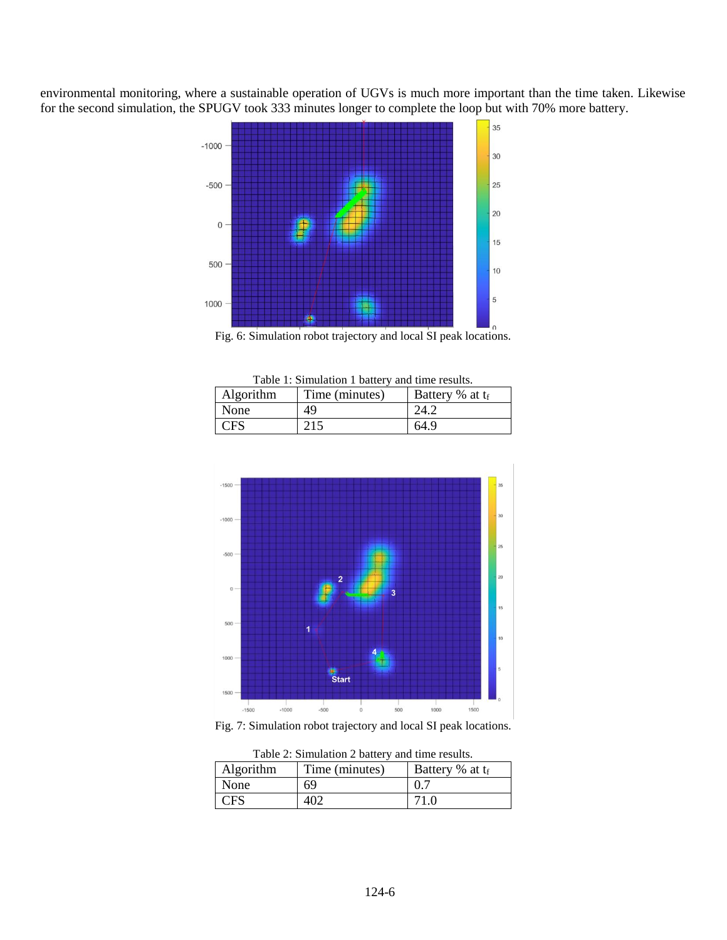environmental monitoring, where a sustainable operation of UGVs is much more important than the time taken. Likewise for the second simulation, the SPUGV took 333 minutes longer to complete the loop but with 70% more battery.





| Algorithm  | Time (minutes) | Battery % at t <sub>f</sub> |
|------------|----------------|-----------------------------|
| None       | 49             | 24.2                        |
| <b>CFS</b> | 215            | 64.9                        |



Fig. 7: Simulation robot trajectory and local SI peak locations.

| I able $\angle$ : Simulation $\angle$ battery and time results. |                |                    |  |
|-----------------------------------------------------------------|----------------|--------------------|--|
| Algorithm                                                       | Time (minutes) | Battery % at $t_f$ |  |
| None                                                            | 69             | 0.7                |  |
| <b>CFS</b>                                                      | 402            | 71.0               |  |

Table 2: Simulation 2 battery and time results.